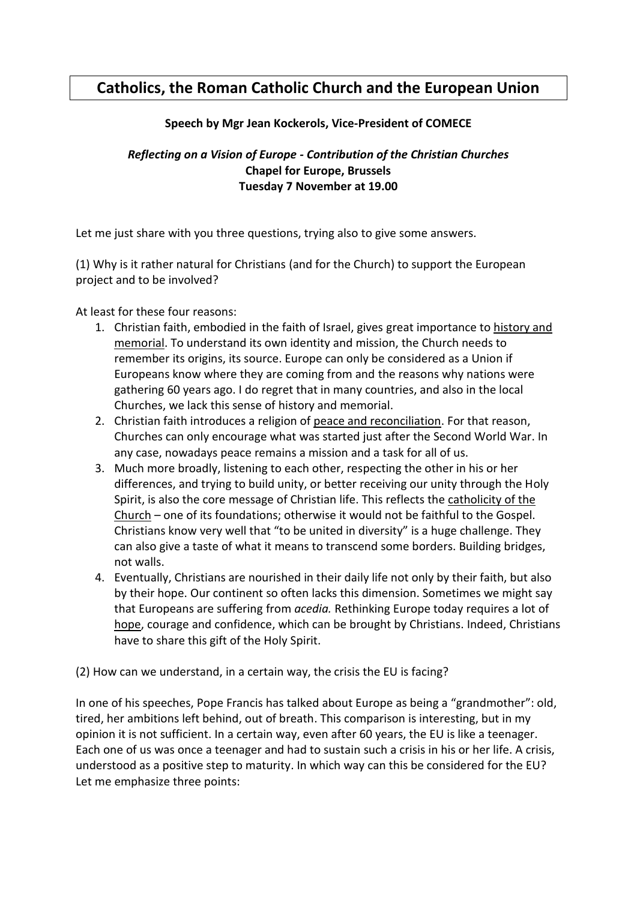## **Catholics, the Roman Catholic Church and the European Union**

## **Speech by Mgr Jean Kockerols, Vice-President of COMECE**

*Reflecting on a Vision of Europe - Contribution of the Christian Churches* **Chapel for Europe, Brussels Tuesday 7 November at 19.00**

Let me just share with you three questions, trying also to give some answers.

(1) Why is it rather natural for Christians (and for the Church) to support the European project and to be involved?

At least for these four reasons:

- 1. Christian faith, embodied in the faith of Israel, gives great importance to history and memorial. To understand its own identity and mission, the Church needs to remember its origins, its source. Europe can only be considered as a Union if Europeans know where they are coming from and the reasons why nations were gathering 60 years ago. I do regret that in many countries, and also in the local Churches, we lack this sense of history and memorial.
- 2. Christian faith introduces a religion of peace and reconciliation. For that reason, Churches can only encourage what was started just after the Second World War. In any case, nowadays peace remains a mission and a task for all of us.
- 3. Much more broadly, listening to each other, respecting the other in his or her differences, and trying to build unity, or better receiving our unity through the Holy Spirit, is also the core message of Christian life. This reflects the catholicity of the Church – one of its foundations; otherwise it would not be faithful to the Gospel. Christians know very well that "to be united in diversity" is a huge challenge. They can also give a taste of what it means to transcend some borders. Building bridges, not walls.
- 4. Eventually, Christians are nourished in their daily life not only by their faith, but also by their hope. Our continent so often lacks this dimension. Sometimes we might say that Europeans are suffering from *acedia.* Rethinking Europe today requires a lot of hope, courage and confidence, which can be brought by Christians. Indeed, Christians have to share this gift of the Holy Spirit.

(2) How can we understand, in a certain way, the crisis the EU is facing?

In one of his speeches, Pope Francis has talked about Europe as being a "grandmother": old, tired, her ambitions left behind, out of breath. This comparison is interesting, but in my opinion it is not sufficient. In a certain way, even after 60 years, the EU is like a teenager. Each one of us was once a teenager and had to sustain such a crisis in his or her life. A crisis, understood as a positive step to maturity. In which way can this be considered for the EU? Let me emphasize three points: